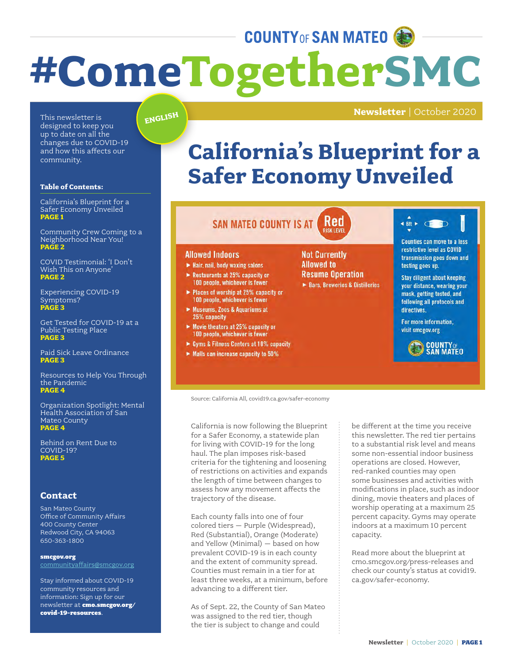# **COUNTY OF SAN MATEO #ComeTogetherSMC**

designed to keep you up to date on all the changes due to COVID-19 and how this affects our community.

#### **Table of Contents:**

California's Blueprint for a Safer Economy Unveiled **PAGE 1**

Community Crew Coming to a Neighborhood Near You! **PAGE 2**

COVID Testimonial: 'I Don't Wish This on Anyone' **PAGE 2**

Experiencing COVID-19 Symptoms? **PAGE 3**

Get Tested for COVID-19 at a Public Testing Place **PAGE 3**

Paid Sick Leave Ordinance **PAGE 3**

Resources to Help You Through the Pandemic **PAGE 4**

Organization Spotlight: Mental Health Association of San Mateo County **PAGE 4**

Behind on Rent Due to COVID-19? **PAGE 5**

### **Contact**

San Mateo County Office of Community Affairs 400 County Center Redwood City, CA 94063 650-363-1800

smcgov.org communityaffairs@smcgov.org

Stay informed about COVID-19 community resources and information: Sign up for our newsletter at cmo.smcgov.org/ covid-19-resources.

### **ENGLISH**

### **Newsletter** | October 2020 This newsletter is

### **California's Blueprint for a Safer Economy Unveiled**

#### Red **SAN MATEO COUNTY IS AT**

#### **Allowed Indoors**

- Hair, nail, body waxing salons
- Restaurants at 25% capacity or<br>100 people, whichever is fewer
- ▶ Places of worship at 25% capacity or 100 people, whichever is fewer
- Museums, Zoos & Aquariums at 25% capacity
- $\blacktriangleright$  Movie theaters at 25% capacity or 100 people, whichever is fewer
- ► Gyms & Fitness Centers at 10% capacity
- Malls can increase capacity to 50%

#### **Not Currently Allowed to Resume Operation** Bars, Breweries & Distilleries



Counties can move to a less restrictive level as COVID transmission goes down and testing goes up.

**Stay diligent about keeping** your distance, wearing your mask, getting tested, and following all protocols and directives.

For more information, visit smcgov.org



Source: California All, covid19.ca.gov/safer-economy

California is now following the Blueprint for a Safer Economy, a statewide plan for living with COVID-19 for the long haul. The plan imposes risk-based criteria for the tightening and loosening of restrictions on activities and expands the length of time between changes to assess how any movement affects the trajectory of the disease.

Each county falls into one of four colored tiers – Purple (Widespread), Red (Substantial), Orange (Moderate) and Yellow (Minimal) – based on how prevalent COVID-19 is in each county and the extent of community spread. Counties must remain in a tier for at least three weeks, at a minimum, before advancing to a different tier.

As of Sept. 22, the County of San Mateo was assigned to the red tier, though the tier is subject to change and could

be different at the time you receive this newsletter. The red tier pertains to a substantial risk level and means some non-essential indoor business operations are closed. However, red-ranked counties may open some businesses and activities with modifications in place, such as indoor dining, movie theaters and places of worship operating at a maximum 25 percent capacity. Gyms may operate indoors at a maximum 10 percent capacity.

Read more about the blueprint at cmo.smcgov.org/press-releases and check our county's status at covid19. ca.gov/safer-economy.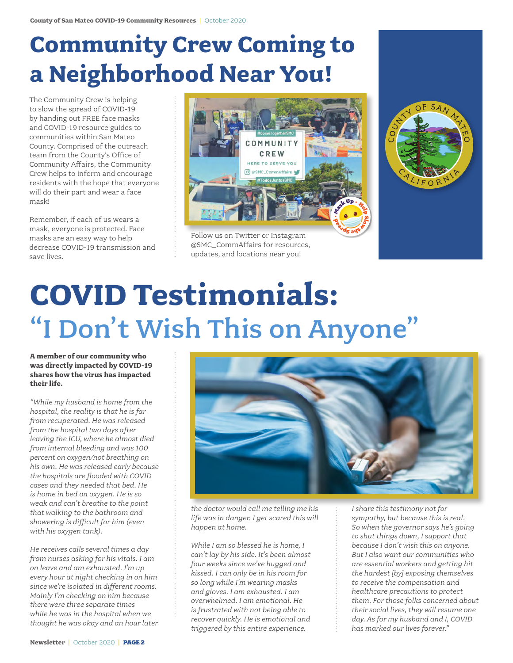# **Community Crew Coming to a Neighborhood Near You!**

The Community Crew is helping to slow the spread of COVID-19 by handing out FREE face masks and COVID-19 resource guides to communities within San Mateo County. Comprised of the outreach team from the County's Office of Community Affairs, the Community Crew helps to inform and encourage residents with the hope that everyone will do their part and wear a face mask!

Remember, if each of us wears a mask, everyone is protected. Face masks are an easy way to help decrease COVID-19 transmission and save lives.



Follow us on Twitter or Instagram @SMC\_CommAffairs for resources, updates, and locations near you!



# **COVID Testimonials:**  "I Don't Wish This on Anyone"

**A member of our community who was directly impacted by COVID-19 shares how the virus has impacted their life.** 

*"While my husband is home from the hospital, the reality is that he is far from recuperated. He was released from the hospital two days after leaving the ICU, where he almost died from internal bleeding and was 100 percent on oxygen/not breathing on his own. He was released early because the hospitals are flooded with COVID cases and they needed that bed. He is home in bed on oxygen. He is so weak and can't breathe to the point that walking to the bathroom and showering is difficult for him (even with his oxygen tank).* 

*He receives calls several times a day from nurses asking for his vitals. I am on leave and am exhausted. I'm up every hour at night checking in on him since we're isolated in different rooms. Mainly I'm checking on him because there were three separate times while he was in the hospital when we thought he was okay and an hour later* 



*the doctor would call me telling me his life was in danger. I get scared this will happen at home.*

*While I am so blessed he is home, I can't lay by his side. It's been almost four weeks since we've hugged and kissed. I can only be in his room for so long while I'm wearing masks and gloves. I am exhausted. I am overwhelmed. I am emotional. He is frustrated with not being able to recover quickly. He is emotional and triggered by this entire experience.* 

*I share this testimony not for sympathy, but because this is real. So when the governor says he's going to shut things down, I support that because I don't wish this on anyone. But I also want our communities who are essential workers and getting hit the hardest [by] exposing themselves to receive the compensation and healthcare precautions to protect them. For those folks concerned about their social lives, they will resume one day. As for my husband and I, COVID has marked our lives forever."*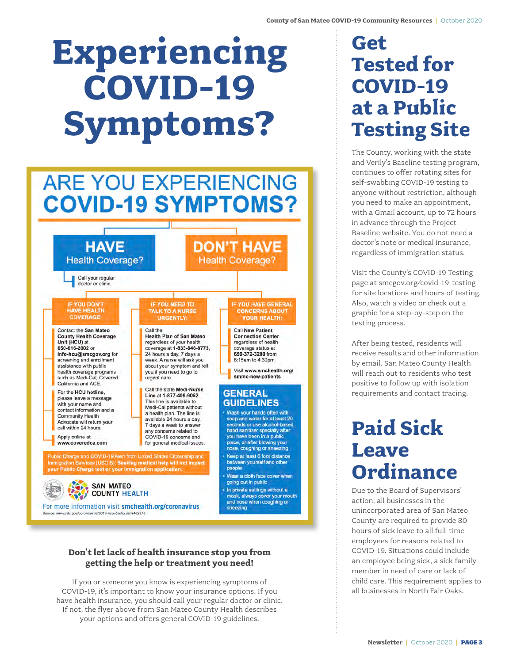# **Experiencing COVID-19 Symptoms?**

# **ARE YOU EXPERIENCING COVID-19 SYMPTOMS?**

**HAVE DON'T HAVE Health Coverage? Health Coverage?** Call your regular doctor or clinic. **IF YOU HAVE GENERAL IF YOU DON'T IF YOU NEED TO** HAVE HEALTH **CONCERNS ABOUT**<br>YOUR HEALTH: **TALK TO A NURSE** COVERAGE **URGENTLY:** Contact the San Mateo Call the **Call New Patient Health Plan of San Mateo County Health Coverage Connection Center** regardless of your health<br>coverage at 1-833-846-8773. regardless of health Unit (HCU) at 650-616-2002 or coverage status at info-hcu@smcgov.org for 24 hours a day, 7 days a 650-372-3200 from screening and enrollment week. A nurse will ask you 8:15am to 4:30pm. assistance with public about your symptom and tell Visit www.smchealth.org/ health coverage programs you if you need to go to smmc-new-patients such as Medi-Cal, Covered urgent care. California and ACE. Call the state Medi-Nurse For the HCU hotline, **GENERAL** Line at 1-877-409-9052. please leave a message This line is available to **GUIDELINES** with your name and Medi-Cal patients without contact information and a Wash your hands often with a health plan. The line is **Community Health** available 24 hours a day, soap and water for at least 20 Advocate will return your seconds or use alcohol-based 7 days a week to answer call within 24 hours. seconds or use alcohol-base<br>hand sanitizer specially after<br>you have been in a public any concerns related to Apply online at COVID-19 concerns and place, or after blowing your www.coveredca.com for general medical issues. nose, coughing or sneezing Public Charge and COVID-19 Alert from United States Citizenship and<br>Immigration Services (USCIS): Seeking medical help will not Impact<br>your Public Charge test or your immigration application. Keep at least 6 foot distance between yourself and other people Wear a cloth face cover when going out in public



### **Don't let lack of health insurance stop you from getting the help or treatment you need!**

In private settings without a mask, always cover your mouth and nose when coughing or

sneezing

If you or someone you know is experiencing symptoms of COVID-19, it's important to know your insurance options. If you have health insurance, you should call your regular doctor or clinic. If not, the flyer above from San Mateo County Health describes your options and offers general COVID-19 guidelines.

### **Get Tested for COVID-19 at a Public Testing Site**

The County, working with the state and Verily's Baseline testing program, continues to offer rotating sites for self-swabbing COVID-19 testing to anyone without restriction, although you need to make an appointment, with a Gmail account, up to 72 hours in advance through the Project Baseline website. You do not need a doctor's note or medical insurance, regardless of immigration status.

Visit the County's COVID-19 Testing page at smcgov.org/covid-19-testing for site locations and hours of testing. Also, watch a video or check out a graphic for a step-by-step on the testing process.

After being tested, residents will receive results and other information by email. San Mateo County Health will reach out to residents who test positive to follow up with isolation requirements and contact tracing.

### **Paid Sick Leave Ordinance**

Due to the Board of Supervisors' action, all businesses in the unincorporated area of San Mateo County are required to provide 80 hours of sick leave to all full-time employees for reasons related to COVID-19. Situations could include an employee being sick, a sick family member in need of care or lack of child care. This requirement applies to all businesses in North Fair Oaks.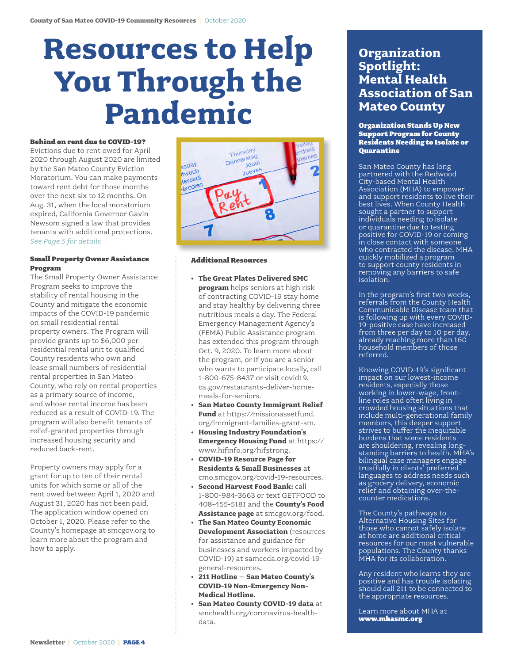# **Resources to Help You Through the Pandemic**

#### Behind on rent due to COVID-19?

Evictions due to rent owed for April 2020 through August 2020 are limited by the San Mateo County Eviction Moratorium. You can make payments toward rent debt for those months over the next six to 12 months. On Aug. 31, when the local moratorium expired, California Governor Gavin Newsom signed a law that provides tenants with additional protections. *See Page 5 for details*

#### Small Property Owner Assistance Program

The Small Property Owner Assistance Program seeks to improve the stability of rental housing in the County and mitigate the economic impacts of the COVID-19 pandemic on small residential rental property owners. The Program will provide grants up to \$6,000 per residential rental unit to qualified County residents who own and lease small numbers of residential rental properties in San Mateo County, who rely on rental properties as a primary source of income, and whose rental income has been reduced as a result of COVID-19. The program will also benefit tenants of relief-granted properties through increased housing security and reduced back-rent.

Property owners may apply for a grant for up to ten of their rental units for which some or all of the rent owed between April 1, 2020 and August 31, 2020 has not been paid. The application window opened on October 1, 2020. Please refer to the County's homepage at smcgov.org to learn more about the program and how to apply.



#### Additional Resources

- **• The Great Plates Delivered SMC program** helps seniors at high risk of contracting COVID-19 stay home and stay healthy by delivering three nutritious meals a day. The Federal Emergency Management Agency's (FEMA) Public Assistance program has extended this program through Oct. 9, 2020. To learn more about the program, or if you are a senior who wants to participate locally, call 1-800-675-8437 or visit covid19. ca.gov/restaurants-deliver-homemeals-for-seniors.
- **• San Mateo County Immigrant Relief Fund** at https://missionassetfund. org/immigrant-families-grant-sm.
- **• Housing Industry Foundation's Emergency Housing Fund** at https:// www.hifinfo.org/hifstrong.
- **• COVID-19 Resource Page for Residents & Small Businesses** at cmo.smcgov.org/covid-19-resources.
- **• Second Harvest Food Bank:** call 1-800-984-3663 or text GETFOOD to 408-455-5181 and the **County's Food Assistance page** at smcgov.org/food.
- **• The San Mateo County Economic Development Association** (resources for assistance and guidance for businesses and workers impacted by COVID-19) at samceda.org/covid-19 general-resources.
- **• 211 Hotline San Mateo County's COVID-19 Non-Emergency Non-Medical Hotline.**
- **• San Mateo County COVID-19 data** at smchealth.org/coronavirus-healthdata.

### **Organization Spotlight: Mental Health Association of San Mateo County**

#### Organization Stands Up New Support Program for County Residents Needing to Isolate or **Ouarantine**

San Mateo County has long partnered with the Redwood City-based Mental Health Association (MHA) to empower and support residents to live their best lives. When County Health sought a partner to support individuals needing to isolate or quarantine due to testing positive for COVID-19 or coming in close contact with someone who contracted the disease, MHA quickly mobilized a program to support county residents in removing any barriers to safe isolation.

In the program's first two weeks, referrals from the County Health Communicable Disease team that is following up with every COVID-19-positive case have increased from three per day to 10 per day, already reaching more than 160 household members of those referred.

Knowing COVID-19's significant impact on our lowest-income residents, especially those working in lower-wage, frontline roles and often living in crowded housing situations that include multi-generational family members, this deeper support strives to buffer the inequitable burdens that some residents are shouldering, revealing longstanding barriers to health. MHA's bilingual case managers engage trustfully in clients' preferred languages to address needs such as grocery delivery, economic relief and obtaining over-thecounter medications.

The County's pathways to Alternative Housing Sites for those who cannot safely isolate at home are additional critical resources for our most vulnerable populations. The County thanks MHA for its collaboration.

Any resident who learns they are positive and has trouble isolating should call 211 to be connected to the appropriate resources.

Learn more about MHA at www.mhasmc.org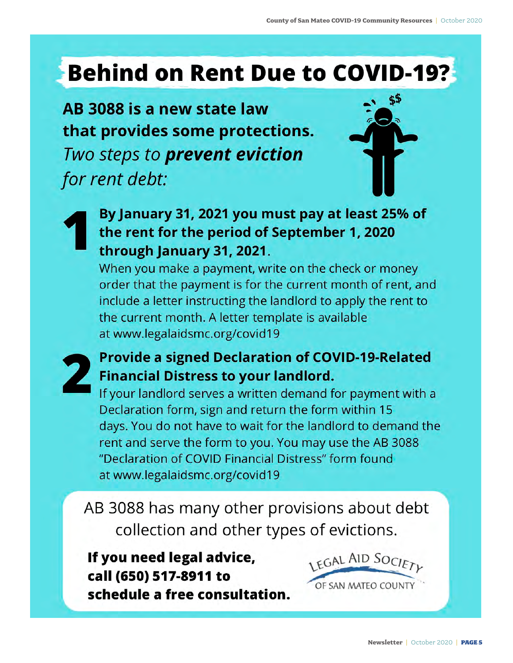## **Behind on Rent Due to COVID-19?**

AB 3088 is a new state law that provides some protections. Two steps to prevent eviction for rent debt:



### By January 31, 2021 you must pay at least 25% of the rent for the period of September 1, 2020 through January 31, 2021.

When you make a payment, write on the check or money order that the payment is for the current month of rent, and include a letter instructing the landlord to apply the rent to the current month. A letter template is available at www.legalaidsmc.org/covid19

### **Provide a signed Declaration of COVID-19-Related Financial Distress to your landlord.**

If your landlord serves a written demand for payment with a Declaration form, sign and return the form within 15 days. You do not have to wait for the landlord to demand the rent and serve the form to you. You may use the AB 3088 "Declaration of COVID Financial Distress" form found at www.legalaidsmc.org/covid19

AB 3088 has many other provisions about debt collection and other types of evictions.

If you need legal advice, call (650) 517-8911 to schedule a free consultation.